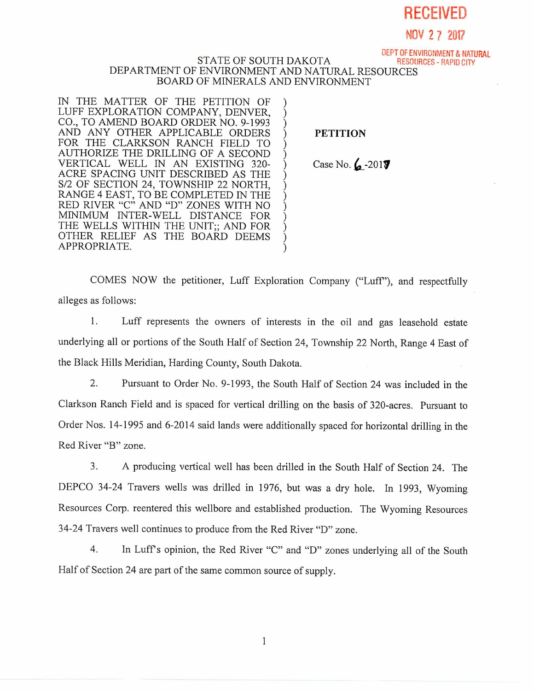**RECEIVED** 

**NOV 2 7 2017** 

## DEPT OF ENVIRONMENT *&* NATURAL STATE OF SOUTH DAKOTA RESOURCES - RAPID CITY DEPARTMENT OF ENVIRONMENT AND NATURAL RESOURCES BOARD OF MINERALS AND ENVIRONMENT

IN THE MATTER OF THE PETITION OF LUFF EXPLORATION COMPANY, DENVER, CO., TO AMEND BOARD ORDER NO. 9-1993 AND ANY OTHER APPLICABLE ORDERS FOR THE CLARKSON RANCH FIELD TO AUTHORIZE THE DRILLING OF A SECOND VERTICAL WELL IN AN EXISTING 320- ACRE SPACING UNIT DESCRIBED AS THE S/2 OF SECTION 24, TOWNSHIP 22 NORTH, RANGE 4 EAST, TO BE COMPLETED IN THE RED RIVER "C" AND "D" ZONES WITH NO MINIMUM INTER-WELL DISTANCE FOR THE WELLS WITHIN THE UNIT;; AND FOR OTHER RELIEF AS THE BOARD DEEMS APPROPRIATE.

## **PETITION**

Case No.  $6 - 2019$ 

COMES NOW the petitioner, Luff Exploration Company ("Luff'), and respectfully alleges as follows:

1. Luff represents the owners of interests in the oil and gas leasehold estate underlying all or portions of the South Half of Section 24, Township 22 North, Range 4 East of the Black Hills Meridian, Harding County, South Dakota.

2. Pursuant to Order No. 9-1993, the South Half of Section 24 was included in the Clarkson Ranch Field and is spaced for vertical drilling on the basis of 320-acres. Pursuant to Order Nos. 14-1995 and 6-2014 said lands were additionally spaced for horizontal drilling in the Red River "B" zone.

3. A producing vertical well has been drilled in the South Half of Section 24. The DEPCO 34-24 Travers wells was drilled in 1976, but was a dry hole. In 1993, Wyoming Resources Corp. reentered this wellbore and established production. The Wyoming Resources 34-24 Travers well continues to produce from the Red River "D" zone.

4. In Luff's opinion, the Red River "C" and "D" zones underlying all of the South Half of Section 24 are part of the same common source of supply.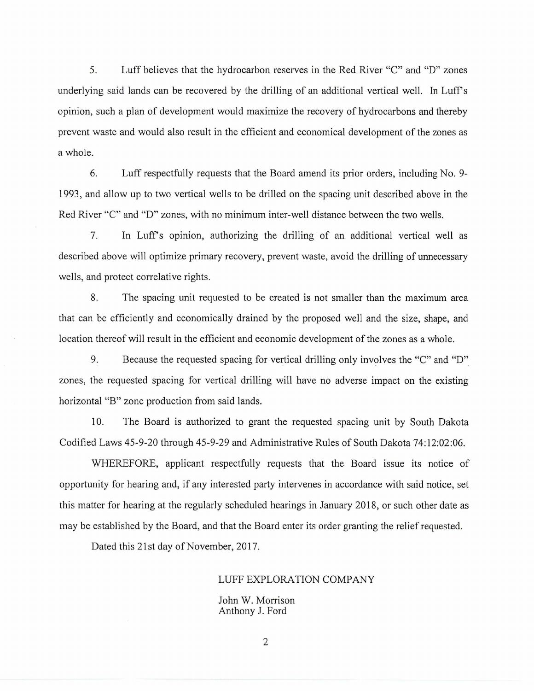5. Luff believes that the hydrocarbon reserves in the Red River "C" and "D" zones underlying said lands can be recovered by the drilling of an additional vertical well. In Luff's opinion, such a plan of development would maximize the recovery of hydrocarbons and thereby prevent waste and would also result in the efficient and economical development of the zones as a whole.

6. Luff respectfully requests that the Board amend its prior orders, including No. 9- 1993, and allow up to two vertical wells to be drilled on the spacing unit described above in the Red River "C" and "D" zones, with no minimum inter-well distance between the two wells.

7. In Luff's opinion, authorizing the drilling of an additional vertical well as described above will optimize primary recovery, prevent waste, avoid the drilling of unnecessary wells, and protect correlative rights.

8. The spacing unit requested to be created is not smaller than the maximum area that can be efficiently and economically drained by the proposed well and the size, shape, and location thereof will result in the efficient and economic development of the zones as a whole.

9. Because the requested spacing for vertical drilling only involves the "C" and "D" zones, the requested spacing for vertical drilling will have no adverse impact on the existing horizontal "B" zone production from said lands.

10. The Board is authorized to grant the requested spacing unit by South Dakota Codified Laws 45-9-20 through 45-9-29 and Administrative Rules of South Dakota 74:12:02:06.

WHEREFORE, applicant respectfully requests that the Board issue its notice of opportunity for hearing and, if any interested party intervenes in accordance with said notice, set this matter for hearing at the regularly scheduled hearings in January 2018, or such other date as may be established by the Board, and that the Board enter its order granting the relief requested.

Dated this 21st day of November, 2017.

## LUFF EXPLORATION COMPANY

John W. Morrison Anthony J. Ford